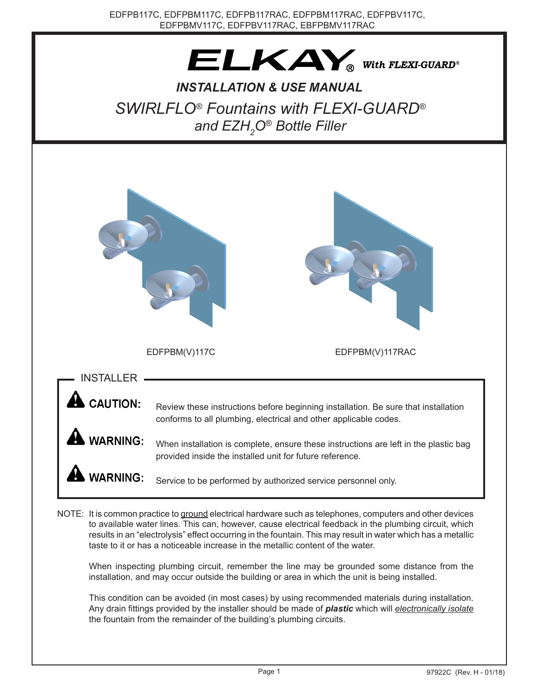

*INSTALLATION & USE MANUAL*

*SWIRLFLO® Fountains with FLEXI-GUARD® and EZH2 O® Bottle Filler*



NOTE: It is common practice to ground electrical hardware such as telephones, computers and other devices to available water lines. This can, however, cause electrical feedback in the plumbing circuit, which results in an "electrolysis" effect occurring in the fountain. This may result in water which has a metallic taste to it or has a noticeable increase in the metallic content of the water.

When inspecting plumbing circuit, remember the line may be grounded some distance from the installation, and may occur outside the building or area in which the unit is being installed.

This condition can be avoided (in most cases) by using recommended materials during installation. Any drain fittings provided by the installer should be made of *plastic* which will *electronically isolate* the fountain from the remainder of the building's plumbing circuits.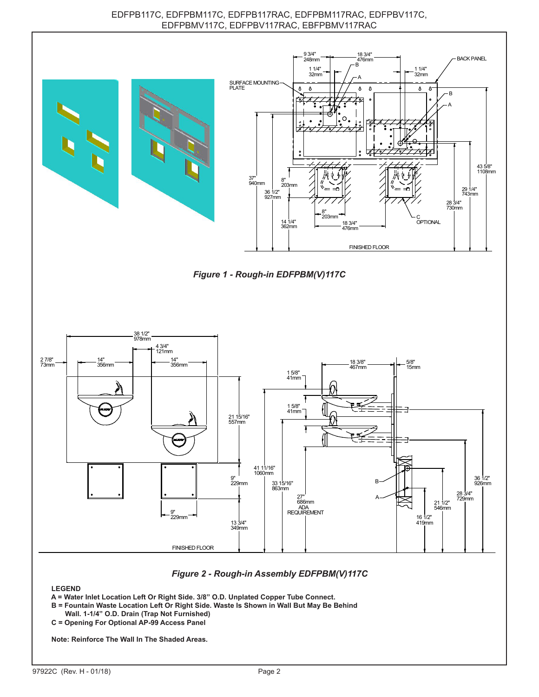





## *Figure 2 - Rough-in Assembly EDFPBM(V)117C*

 **LEGEND**

- **A = Water Inlet Location Left Or Right Side. 3/8" O.D. Unplated Copper Tube Connect.**
- **B = Fountain Waste Location Left Or Right Side. Waste Is Shown in Wall But May Be Behind**
- **Wall. 1-1/4" O.D. Drain (Trap Not Furnished)**
- **C = Opening For Optional AP-99 Access Panel**

 **Note: Reinforce The Wall In The Shaded Areas.**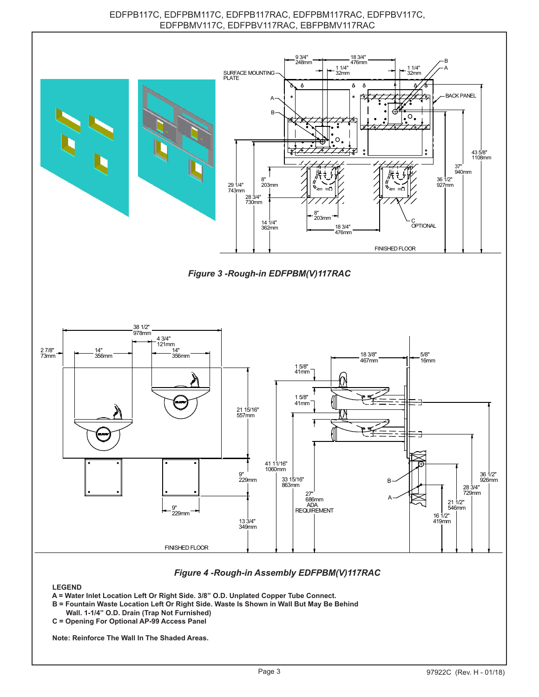

 **Wall. 1-1/4" O.D. Drain (Trap Not Furnished) C = Opening For Optional AP-99 Access Panel**

 **Note: Reinforce The Wall In The Shaded Areas.**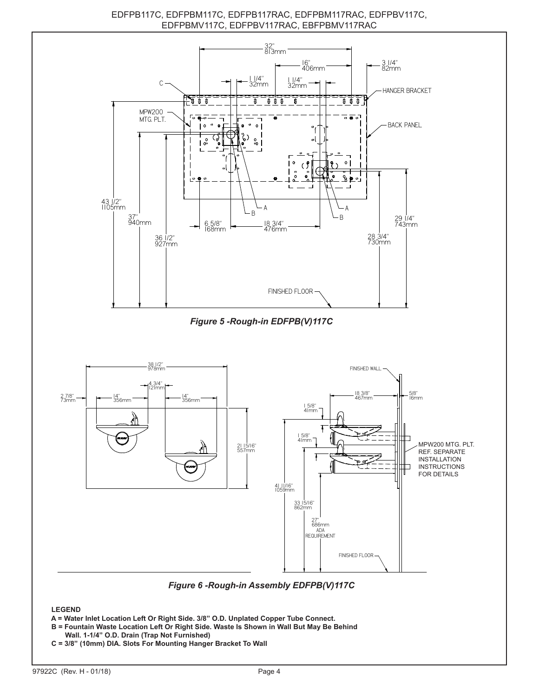EDFPB117C, EDFPBM117C, EDFPB117RAC, EDFPBM117RAC, EDFPBV117C, EDFPBMV117C, EDFPBV117RAC, EBFPBMV117RAC



```
 C = 3/8" (10mm) DIA. Slots For Mounting Hanger Bracket To Wall
```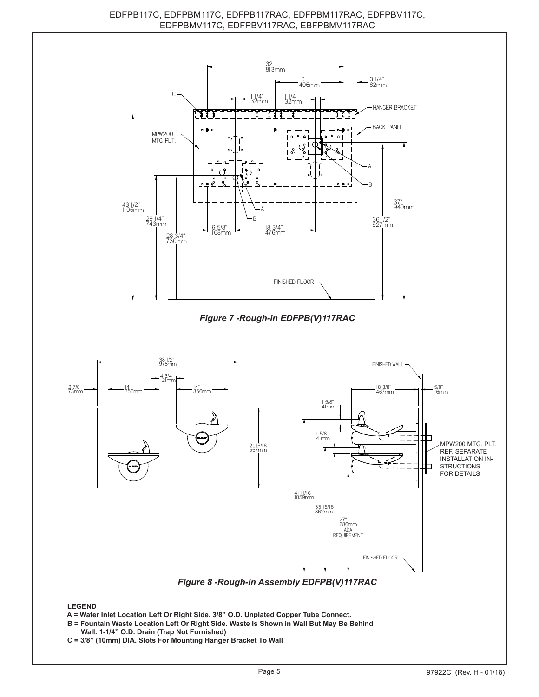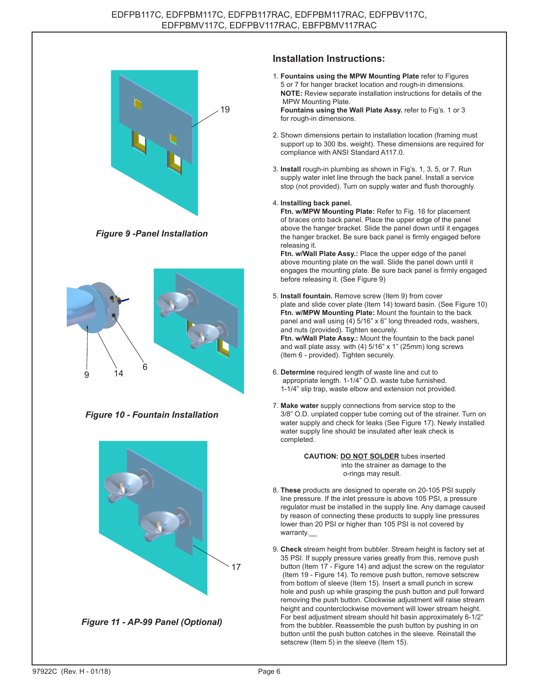

*Figure 9 -Panel Installation*



*Figure 10 - Fountain Installation*



*Figure 11 - AP-99 Panel (Optional)*

# **Installation Instructions:**

1. **Fountains using the MPW Mounting Plate** refer to Figures 5 or 7 for hanger bracket location and rough-in dimensions. **NOTE:** Review separate installation instructions for details of the MPW Mounting Plate.

 **Fountains using the Wall Plate Assy.** refer to Fig's. 1 or 3 for rough-in dimensions.

- 2. Shown dimensions pertain to installation location (framing must support up to 300 lbs. weight). These dimensions are required for compliance with ANSI Standard A117.0.
- 3. **Install** rough-in plumbing as shown in Fig's. 1, 3, 5, or 7. Run supply water inlet line through the back panel. Install a service stop (not provided). Turn on supply water and flush thoroughly.

#### 4. **Installing back panel.**

 **Ftn. w/MPW Mounting Plate:** Refer to Fig. 16 for placement of braces onto back panel. Place the upper edge of the panel above the hanger bracket. Slide the panel down until it engages the hanger bracket. Be sure back panel is firmly engaged before releasing it.

 **Ftn. w/Wall Plate Assy.:** Place the upper edge of the panel above mounting plate on the wall. Slide the panel down until it engages the mounting plate. Be sure back panel is firmly engaged before releasing it. (See Figure 9)

- 5. **Install fountain.** Remove screw (Item 9) from cover plate and slide cover plate (Item 14) toward basin. (See Figure 10) **Ftn. w/MPW Mounting Plate:** Mount the fountain to the back panel and wall using  $(4)$  5/16" x 6" long threaded rods, washers, and nuts (provided). Tighten securely.  **Ftn. w/Wall Plate Assy.:** Mount the fountain to the back panel and wall plate assy. with (4) 5/16" x 1" (25mm) long screws (Item 6 - provided). Tighten securely.
- 6. **Determine** required length of waste line and cut to appropriate length. 1-1/4" O.D. waste tube furnished. 1-1/4" slip trap, waste elbow and extension not provided.
- 7. **Make water** supply connections from service stop to the 3/8" O.D. unplated copper tube coming out of the strainer. Turn on water supply and check for leaks (See Figure 17). Newly installed water supply line should be insulated after leak check is completed.

 **CAUTION: DO NOT SOLDER** tubes inserted into the strainer as damage to the o-rings may result.

- 8. **These** products are designed to operate on 20-105 PSI supply line pressure. If the inlet pressure is above 105 PSI, a pressure regulator must be installed in the supply line. Any damage caused by reason of connecting these products to supply line pressures lower than 20 PSI or higher than 105 PSI is not covered by warranty.
- 9. **Check** stream height from bubbler. Stream height is factory set at 35 PSI. If supply pressure varies greatly from this, remove push button (Item 17 - Figure 14) and adjust the screw on the regulator (Item 19 - Figure 14). To remove push button, remove setscrew from bottom of sleeve (Item 15). Insert a small punch in screw hole and push up while grasping the push button and pull forward removing the push button. Clockwise adjustment will raise stream height and counterclockwise movement will lower stream height. For best adjustment stream should hit basin approximately 6-1/2" from the bubbler. Reassemble the push button by pushing in on button until the push button catches in the sleeve. Reinstall the setscrew (Item 5) in the sleeve (Item 15).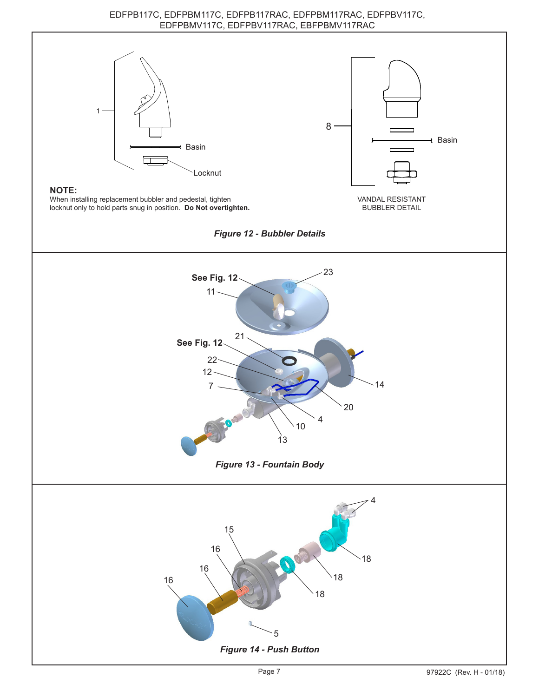